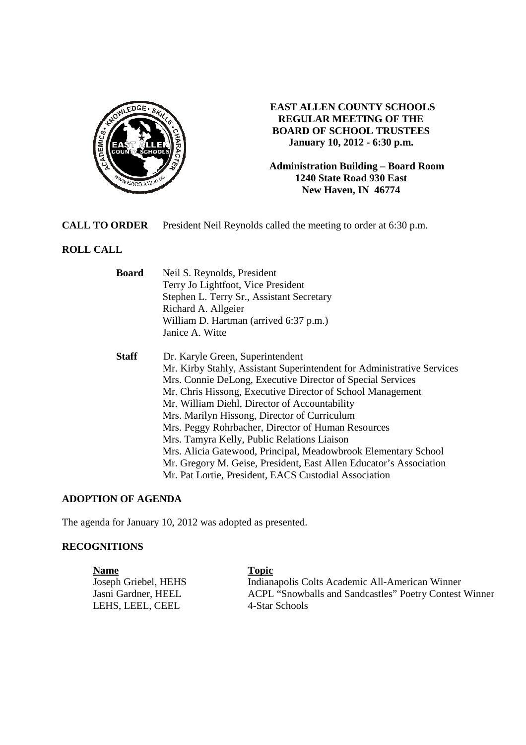

## **EAST ALLEN COUNTY SCHOOLS REGULAR MEETING OF THE BOARD OF SCHOOL TRUSTEES January 10, 2012 - 6:30 p.m.**

**Administration Building – Board Room 1240 State Road 930 East New Haven, IN 46774**

**CALL TO ORDER** President Neil Reynolds called the meeting to order at 6:30 p.m.

# **ROLL CALL**

| <b>Board</b> | Neil S. Reynolds, President                                            |  |  |  |
|--------------|------------------------------------------------------------------------|--|--|--|
|              | Terry Jo Lightfoot, Vice President                                     |  |  |  |
|              | Stephen L. Terry Sr., Assistant Secretary                              |  |  |  |
|              | Richard A. Allgeier                                                    |  |  |  |
|              | William D. Hartman (arrived 6:37 p.m.)                                 |  |  |  |
|              | Janice A. Witte                                                        |  |  |  |
| <b>Staff</b> | Dr. Karyle Green, Superintendent                                       |  |  |  |
|              | Mr. Kirby Stahly, Assistant Superintendent for Administrative Services |  |  |  |
|              | Mrs. Connie DeLong, Executive Director of Special Services             |  |  |  |
|              | Mr. Chris Hissong, Executive Director of School Management             |  |  |  |
|              | Mr. William Diehl, Director of Accountability                          |  |  |  |
|              | Mrs. Marilyn Hissong, Director of Curriculum                           |  |  |  |
|              | Mrs. Peggy Rohrbacher, Director of Human Resources                     |  |  |  |
|              | Mrs. Tamyra Kelly, Public Relations Liaison                            |  |  |  |
|              | Mrs. Alicia Gatewood, Principal, Meadowbrook Elementary School         |  |  |  |
|              | Mr. Gregory M. Geise, President, East Allen Educator's Association     |  |  |  |
|              | Mr. Pat Lortie, President, EACS Custodial Association                  |  |  |  |

## **ADOPTION OF AGENDA**

The agenda for January 10, 2012 was adopted as presented.

### **RECOGNITIONS**

**Name**<br> **Ioseph Griebel, HEHS**<br> **Indiana** Indianapolis Colts Academic All-American Winner Jasni Gardner, HEEL ACPL "Snowballs and Sandcastles" Poetry Contest Winner<br>LEHS, LEEL CEEL 4-Star Schools LEHS, LEEL, CEEL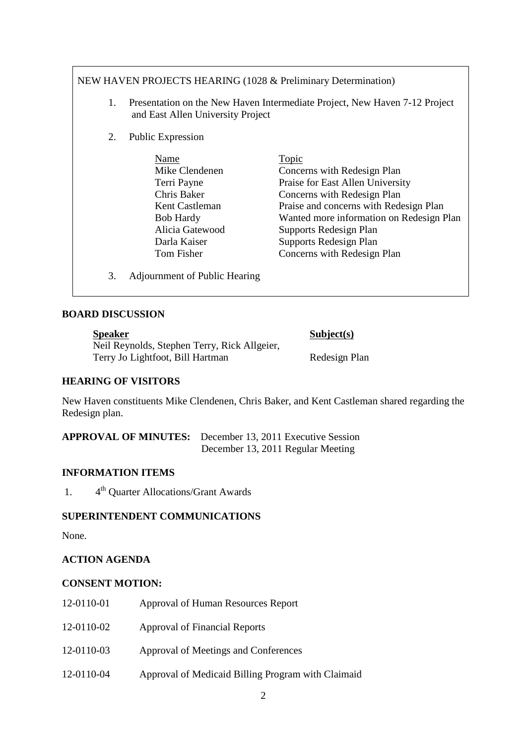# NEW HAVEN PROJECTS HEARING (1028 & Preliminary Determination)

- 1. Presentation on the New Haven Intermediate Project, New Haven 7-12 Project and East Allen University Project
- 2. Public Expression

| Name             | Topic                                    |
|------------------|------------------------------------------|
| Mike Clendenen   | Concerns with Redesign Plan              |
| Terri Payne      | Praise for East Allen University         |
| Chris Baker      | Concerns with Redesign Plan              |
| Kent Castleman   | Praise and concerns with Redesign Plan   |
| <b>Bob Hardy</b> | Wanted more information on Redesign Plan |
| Alicia Gatewood  | Supports Redesign Plan                   |
| Darla Kaiser     | Supports Redesign Plan                   |
| Tom Fisher       | Concerns with Redesign Plan              |
|                  |                                          |

3. Adjournment of Public Hearing

### **BOARD DISCUSSION**

| <b>Speaker</b>                               | Subject(s)    |
|----------------------------------------------|---------------|
| Neil Reynolds, Stephen Terry, Rick Allgeier, |               |
| Terry Jo Lightfoot, Bill Hartman             | Redesign Plan |

## **HEARING OF VISITORS**

New Haven constituents Mike Clendenen, Chris Baker, and Kent Castleman shared regarding the Redesign plan.

**APPROVAL OF MINUTES:** December 13, 2011 Executive Session December 13, 2011 Regular Meeting

### **INFORMATION ITEMS**

1.  $4<sup>th</sup>$  Quarter Allocations/Grant Awards

#### **SUPERINTENDENT COMMUNICATIONS**

None.

## **ACTION AGENDA**

#### **CONSENT MOTION:**

12-0110-01 Approval of Human Resources Report 12-0110-02 Approval of Financial Reports 12-0110-03 Approval of Meetings and Conferences 12-0110-04 Approval of Medicaid Billing Program with Claimaid